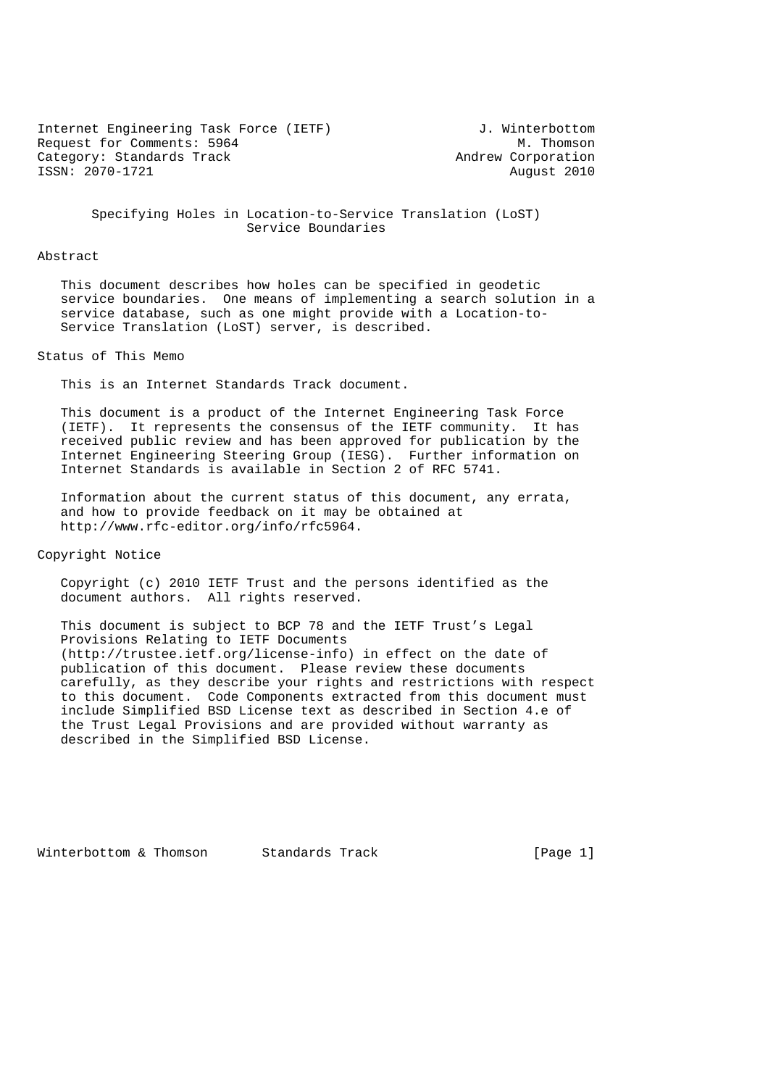Internet Engineering Task Force (IETF) J. Winterbottom Request for Comments: 5964 M. Thomson<br>
Category: Standards Track Mexican Mexican Mexican Andrew Corporation Category: Standards Track ISSN: 2070-1721 August 2010

 Specifying Holes in Location-to-Service Translation (LoST) Service Boundaries

## Abstract

 This document describes how holes can be specified in geodetic service boundaries. One means of implementing a search solution in a service database, such as one might provide with a Location-to- Service Translation (LoST) server, is described.

## Status of This Memo

This is an Internet Standards Track document.

 This document is a product of the Internet Engineering Task Force (IETF). It represents the consensus of the IETF community. It has received public review and has been approved for publication by the Internet Engineering Steering Group (IESG). Further information on Internet Standards is available in Section 2 of RFC 5741.

 Information about the current status of this document, any errata, and how to provide feedback on it may be obtained at http://www.rfc-editor.org/info/rfc5964.

Copyright Notice

 Copyright (c) 2010 IETF Trust and the persons identified as the document authors. All rights reserved.

 This document is subject to BCP 78 and the IETF Trust's Legal Provisions Relating to IETF Documents (http://trustee.ietf.org/license-info) in effect on the date of publication of this document. Please review these documents carefully, as they describe your rights and restrictions with respect to this document. Code Components extracted from this document must include Simplified BSD License text as described in Section 4.e of the Trust Legal Provisions and are provided without warranty as described in the Simplified BSD License.

Winterbottom & Thomson Standards Track [Page 1]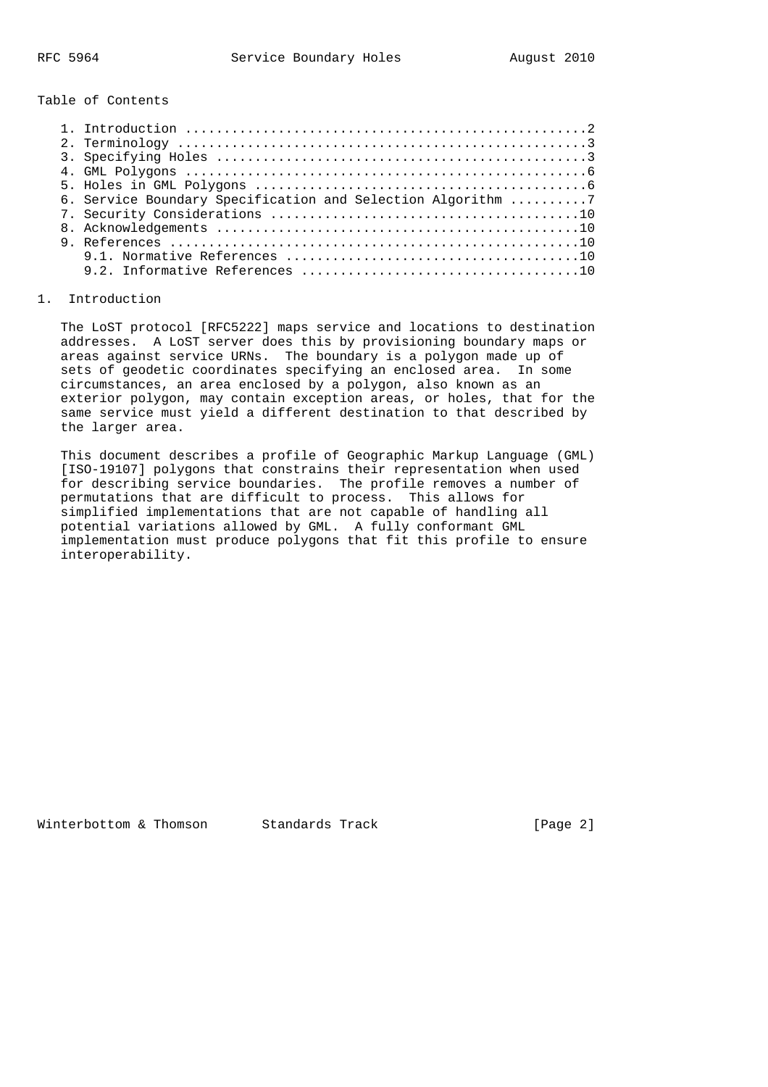Table of Contents

|  | 6. Service Boundary Specification and Selection Algorithm 7 |
|--|-------------------------------------------------------------|
|  |                                                             |
|  |                                                             |
|  |                                                             |
|  |                                                             |
|  |                                                             |
|  |                                                             |

## 1. Introduction

 The LoST protocol [RFC5222] maps service and locations to destination addresses. A LoST server does this by provisioning boundary maps or areas against service URNs. The boundary is a polygon made up of sets of geodetic coordinates specifying an enclosed area. In some circumstances, an area enclosed by a polygon, also known as an exterior polygon, may contain exception areas, or holes, that for the same service must yield a different destination to that described by the larger area.

 This document describes a profile of Geographic Markup Language (GML) [ISO-19107] polygons that constrains their representation when used for describing service boundaries. The profile removes a number of permutations that are difficult to process. This allows for simplified implementations that are not capable of handling all potential variations allowed by GML. A fully conformant GML implementation must produce polygons that fit this profile to ensure interoperability.

Winterbottom & Thomson Standards Track [Page 2]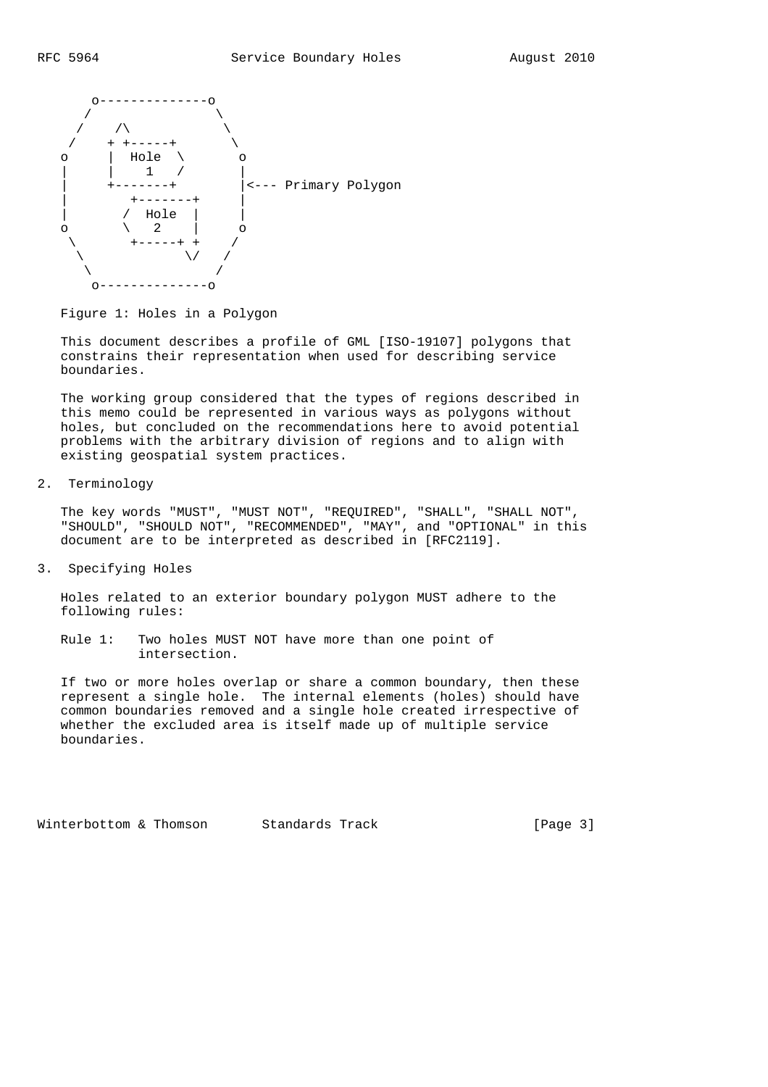

Figure 1: Holes in a Polygon

 This document describes a profile of GML [ISO-19107] polygons that constrains their representation when used for describing service boundaries.

 The working group considered that the types of regions described in this memo could be represented in various ways as polygons without holes, but concluded on the recommendations here to avoid potential problems with the arbitrary division of regions and to align with existing geospatial system practices.

2. Terminology

 The key words "MUST", "MUST NOT", "REQUIRED", "SHALL", "SHALL NOT", "SHOULD", "SHOULD NOT", "RECOMMENDED", "MAY", and "OPTIONAL" in this document are to be interpreted as described in [RFC2119].

3. Specifying Holes

 Holes related to an exterior boundary polygon MUST adhere to the following rules:

 Rule 1: Two holes MUST NOT have more than one point of intersection.

 If two or more holes overlap or share a common boundary, then these represent a single hole. The internal elements (holes) should have common boundaries removed and a single hole created irrespective of whether the excluded area is itself made up of multiple service boundaries.

Winterbottom & Thomson Standards Track [Page 3]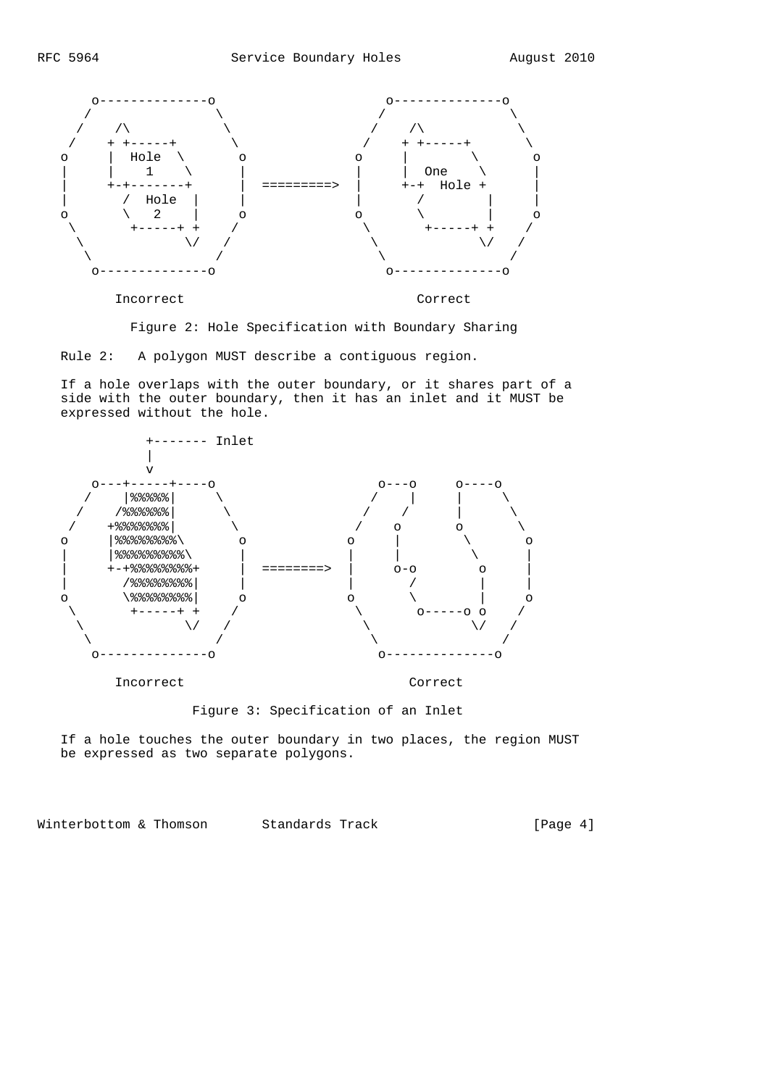

Figure 2: Hole Specification with Boundary Sharing

Rule 2: A polygon MUST describe a contiguous region.

 If a hole overlaps with the outer boundary, or it shares part of a side with the outer boundary, then it has an inlet and it MUST be expressed without the hole.



Figure 3: Specification of an Inlet

 If a hole touches the outer boundary in two places, the region MUST be expressed as two separate polygons.

Winterbottom & Thomson Standards Track [Page 4]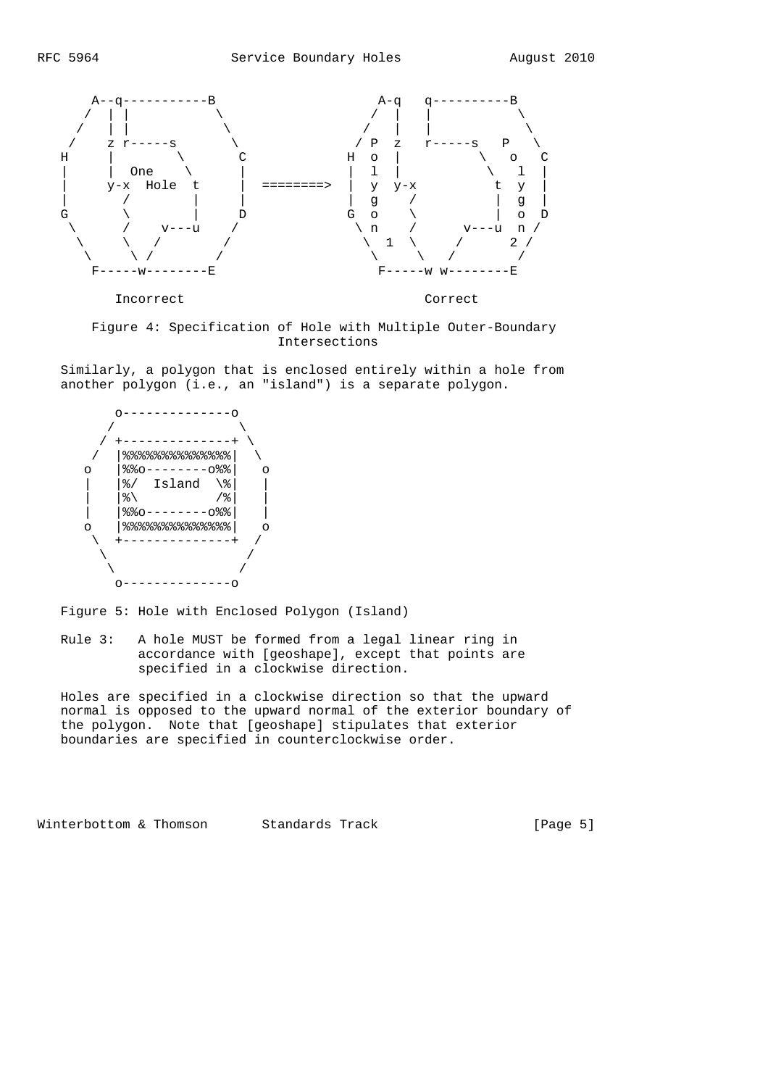

 Figure 4: Specification of Hole with Multiple Outer-Boundary Intersections

 Similarly, a polygon that is enclosed entirely within a hole from another polygon (i.e., an "island") is a separate polygon.



Figure 5: Hole with Enclosed Polygon (Island)

 Rule 3: A hole MUST be formed from a legal linear ring in accordance with [geoshape], except that points are specified in a clockwise direction.

 Holes are specified in a clockwise direction so that the upward normal is opposed to the upward normal of the exterior boundary of the polygon. Note that [geoshape] stipulates that exterior boundaries are specified in counterclockwise order.

Winterbottom & Thomson Standards Track [Page 5]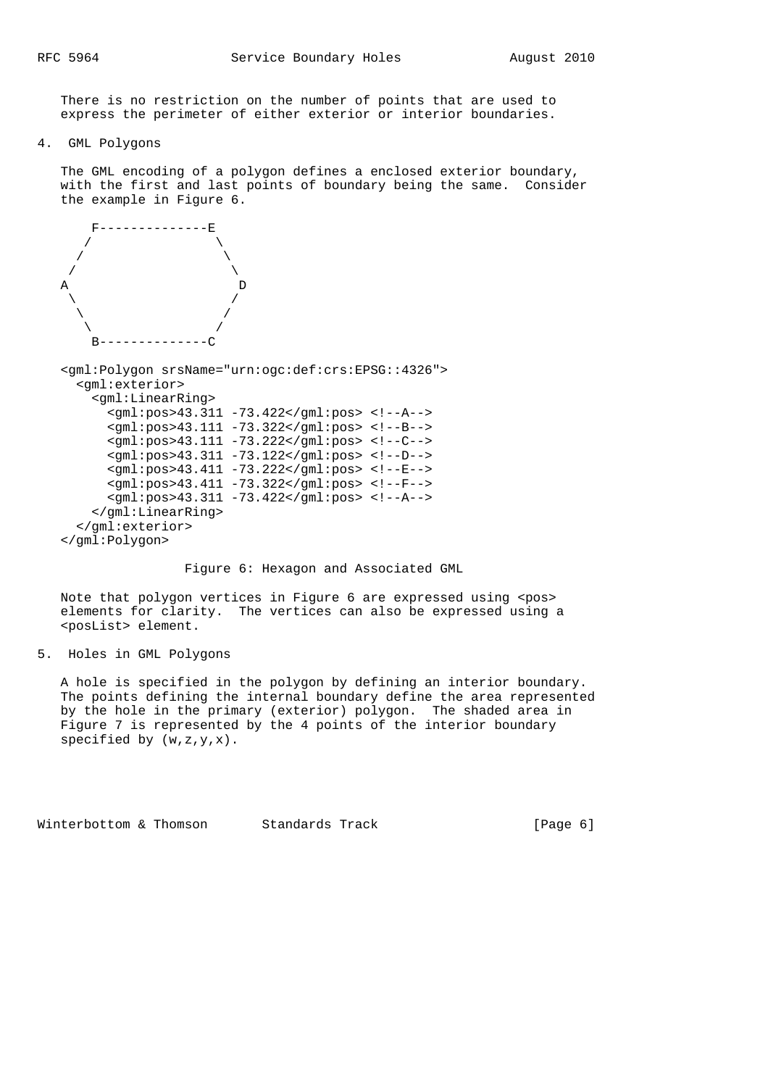There is no restriction on the number of points that are used to express the perimeter of either exterior or interior boundaries.

4. GML Polygons

 The GML encoding of a polygon defines a enclosed exterior boundary, with the first and last points of boundary being the same. Consider the example in Figure 6.



Figure 6: Hexagon and Associated GML

 Note that polygon vertices in Figure 6 are expressed using <pos> elements for clarity. The vertices can also be expressed using a <posList> element.

5. Holes in GML Polygons

 A hole is specified in the polygon by defining an interior boundary. The points defining the internal boundary define the area represented by the hole in the primary (exterior) polygon. The shaded area in Figure 7 is represented by the 4 points of the interior boundary specified by (w,z,y,x).

Winterbottom & Thomson Standards Track  $[Page 6]$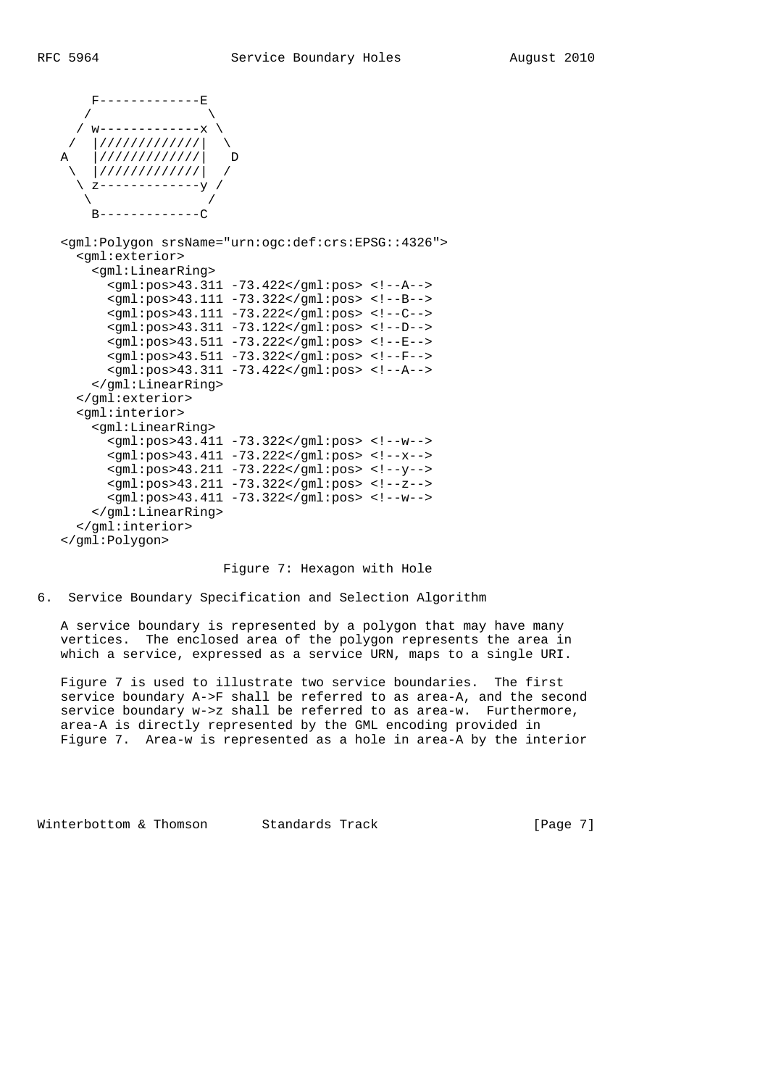F-------------E  $\sqrt{2}$  $/$  w------------- / |/////////////| \ |///////////| D  $\frac{1}{1}$ ////////////// \ z-------------y /  $\qquad \qquad \setminus$  $B---------C$  <gml:Polygon srsName="urn:ogc:def:crs:EPSG::4326"> <gml:exterior> <gml:LinearRing> <gml:pos>43.311 -73.422</gml:pos> <!--A--> <gml:pos>43.111 -73.322</gml:pos> <!--B--> <gml:pos>43.111 -73.222</gml:pos> <!--C--> <gml:pos>43.311 -73.122</gml:pos> <!--D--> <gml:pos>43.511 -73.222</gml:pos> <!--E--> <gml:pos>43.511 -73.322</gml:pos> <!--F--> <gml:pos>43.311 -73.422</gml:pos> <!--A--> </gml:LinearRing> </gml:exterior> <gml:interior> <gml:LinearRing> <gml:pos>43.411 -73.322</gml:pos> <!--w--> <gml:pos>43.411 -73.222</gml:pos> <!--x--> <gml:pos>43.211 -73.222</gml:pos> <!--y--> <gml:pos>43.211 -73.322</gml:pos> <!--z--> <gml:pos>43.411 -73.322</gml:pos> <!--w--> </gml:LinearRing> </gml:interior> </gml:Polygon>

## Figure 7: Hexagon with Hole

6. Service Boundary Specification and Selection Algorithm

 A service boundary is represented by a polygon that may have many vertices. The enclosed area of the polygon represents the area in which a service, expressed as a service URN, maps to a single URI.

 Figure 7 is used to illustrate two service boundaries. The first service boundary A->F shall be referred to as area-A, and the second service boundary w->z shall be referred to as area-w. Furthermore, area-A is directly represented by the GML encoding provided in Figure 7. Area-w is represented as a hole in area-A by the interior

Winterbottom & Thomson Standards Track [Page 7]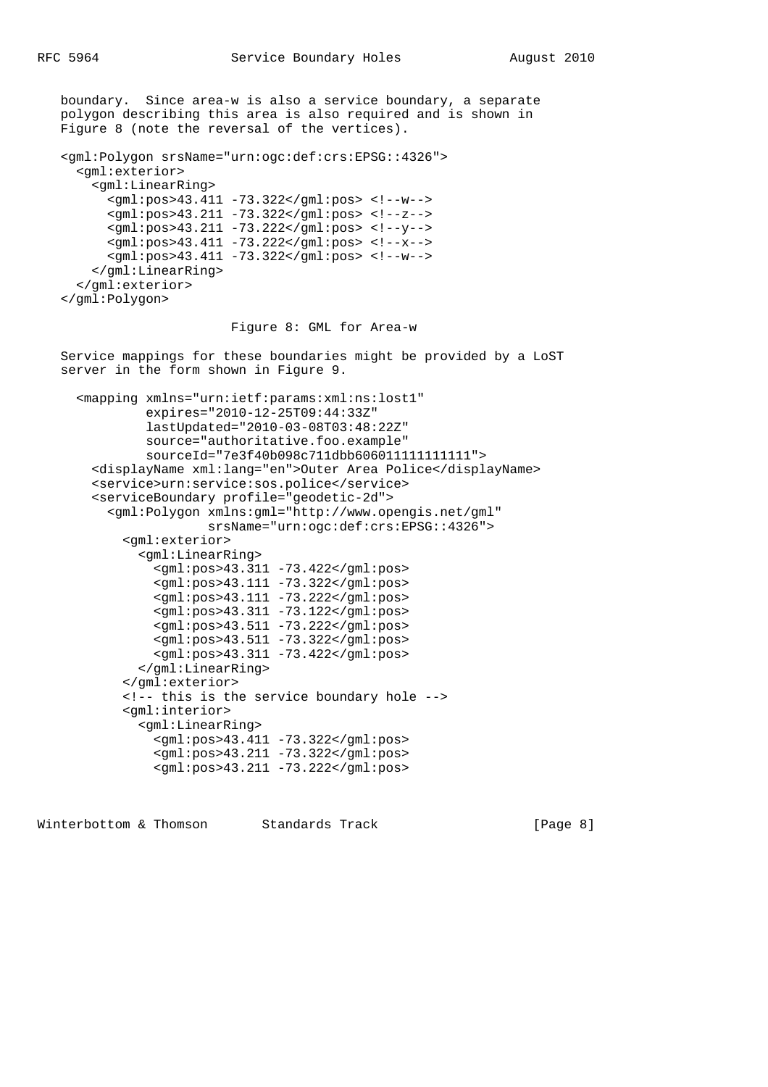boundary. Since area-w is also a service boundary, a separate polygon describing this area is also required and is shown in Figure 8 (note the reversal of the vertices). <gml:Polygon srsName="urn:ogc:def:crs:EPSG::4326"> <gml:exterior> <gml:LinearRing> <gml:pos>43.411 -73.322</gml:pos> <!--w--> <gml:pos>43.211 -73.322</gml:pos> <!--z--> <gml:pos>43.211 -73.222</gml:pos> <!--y--> <gml:pos>43.411 -73.222</gml:pos> <!--x--> <gml:pos>43.411 -73.322</gml:pos> <!--w--> </gml:LinearRing> </gml:exterior> </gml:Polygon> Figure 8: GML for Area-w Service mappings for these boundaries might be provided by a LoST server in the form shown in Figure 9. <mapping xmlns="urn:ietf:params:xml:ns:lost1" expires="2010-12-25T09:44:33Z" lastUpdated="2010-03-08T03:48:22Z" source="authoritative.foo.example" sourceId="7e3f40b098c711dbb606011111111111"> <displayName xml:lang="en">Outer Area Police</displayName> <service>urn:service:sos.police</service> <serviceBoundary profile="geodetic-2d"> <gml:Polygon xmlns:gml="http://www.opengis.net/gml" srsName="urn:ogc:def:crs:EPSG::4326"> <gml:exterior> <gml:LinearRing> <gml:pos>43.311 -73.422</gml:pos> <gml:pos>43.111 -73.322</gml:pos> <gml:pos>43.111 -73.222</gml:pos> <gml:pos>43.311 -73.122</gml:pos> <gml:pos>43.511 -73.222</gml:pos> <gml:pos>43.511 -73.322</gml:pos> <gml:pos>43.311 -73.422</gml:pos> </gml:LinearRing> </gml:exterior> <!-- this is the service boundary hole --> <gml:interior> <gml:LinearRing> <gml:pos>43.411 -73.322</gml:pos> <gml:pos>43.211 -73.322</gml:pos> <gml:pos>43.211 -73.222</gml:pos>

Winterbottom & Thomson Standards Track [Page 8]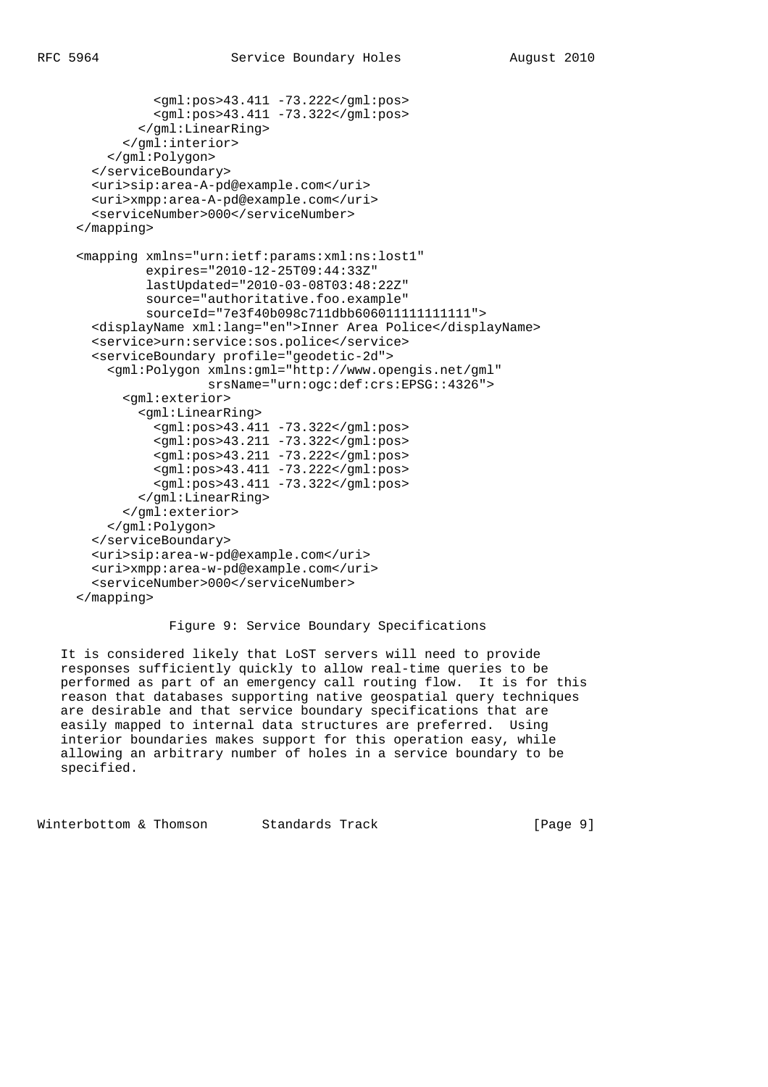```
 <gml:pos>43.411 -73.222</gml:pos>
           <gml:pos>43.411 -73.322</gml:pos>
         </gml:LinearRing>
       </gml:interior>
     </gml:Polygon>
   </serviceBoundary>
   <uri>sip:area-A-pd@example.com</uri>
   <uri>xmpp:area-A-pd@example.com</uri>
   <serviceNumber>000</serviceNumber>
 </mapping>
 <mapping xmlns="urn:ietf:params:xml:ns:lost1"
          expires="2010-12-25T09:44:33Z"
          lastUpdated="2010-03-08T03:48:22Z"
          source="authoritative.foo.example"
          sourceId="7e3f40b098c711dbb606011111111111">
   <displayName xml:lang="en">Inner Area Police</displayName>
   <service>urn:service:sos.police</service>
   <serviceBoundary profile="geodetic-2d">
     <gml:Polygon xmlns:gml="http://www.opengis.net/gml"
                   srsName="urn:ogc:def:crs:EPSG::4326">
       <gml:exterior>
         <gml:LinearRing>
          \text{cm1:} \text{pos} > 43.411 - 73.322 < \text{cm1:} \text{pos} > <gml:pos>43.211 -73.322</gml:pos>
           <gml:pos>43.211 -73.222</gml:pos>
          \frac{1}{90}: pos>43.411 -73.222</gml:pos>
           <gml:pos>43.411 -73.322</gml:pos>
         </gml:LinearRing>
       </gml:exterior>
     </gml:Polygon>
   </serviceBoundary>
   <uri>sip:area-w-pd@example.com</uri>
   <uri>xmpp:area-w-pd@example.com</uri>
   <serviceNumber>000</serviceNumber>
 </mapping>
```
Figure 9: Service Boundary Specifications

 It is considered likely that LoST servers will need to provide responses sufficiently quickly to allow real-time queries to be performed as part of an emergency call routing flow. It is for this reason that databases supporting native geospatial query techniques are desirable and that service boundary specifications that are easily mapped to internal data structures are preferred. Using interior boundaries makes support for this operation easy, while allowing an arbitrary number of holes in a service boundary to be specified.

Winterbottom & Thomson Standards Track [Page 9]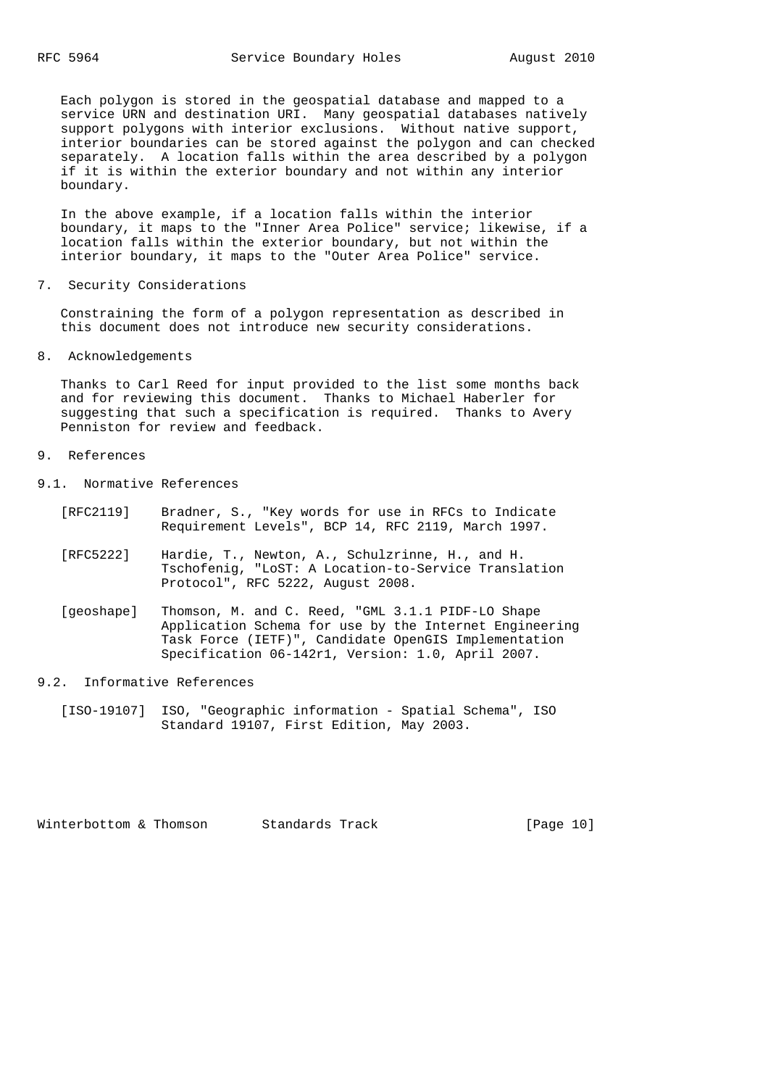Each polygon is stored in the geospatial database and mapped to a service URN and destination URI. Many geospatial databases natively support polygons with interior exclusions. Without native support, interior boundaries can be stored against the polygon and can checked separately. A location falls within the area described by a polygon if it is within the exterior boundary and not within any interior boundary.

 In the above example, if a location falls within the interior boundary, it maps to the "Inner Area Police" service; likewise, if a location falls within the exterior boundary, but not within the interior boundary, it maps to the "Outer Area Police" service.

7. Security Considerations

 Constraining the form of a polygon representation as described in this document does not introduce new security considerations.

8. Acknowledgements

 Thanks to Carl Reed for input provided to the list some months back and for reviewing this document. Thanks to Michael Haberler for suggesting that such a specification is required. Thanks to Avery Penniston for review and feedback.

- 9. References
- 9.1. Normative References
	- [RFC2119] Bradner, S., "Key words for use in RFCs to Indicate Requirement Levels", BCP 14, RFC 2119, March 1997.
	- [RFC5222] Hardie, T., Newton, A., Schulzrinne, H., and H. Tschofenig, "LoST: A Location-to-Service Translation Protocol", RFC 5222, August 2008.
	- [geoshape] Thomson, M. and C. Reed, "GML 3.1.1 PIDF-LO Shape Application Schema for use by the Internet Engineering Task Force (IETF)", Candidate OpenGIS Implementation Specification 06-142r1, Version: 1.0, April 2007.
- 9.2. Informative References
	- [ISO-19107] ISO, "Geographic information Spatial Schema", ISO Standard 19107, First Edition, May 2003.

Winterbottom & Thomson Standards Track [Page 10]